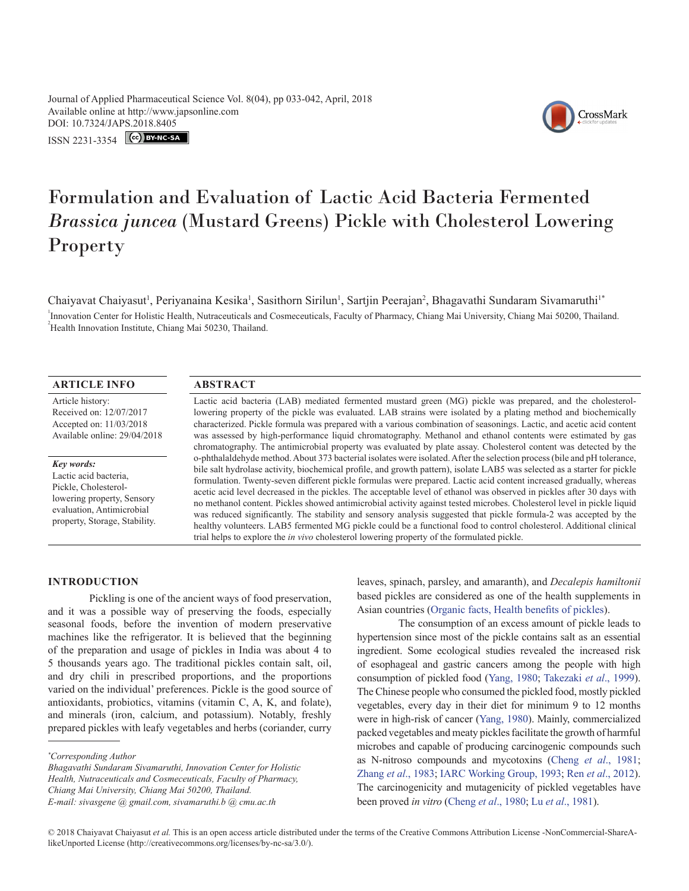Journal of Applied Pharmaceutical Science Vol. 8(04), pp 033-042, April, 2018 Available online at http://www.japsonline.com DOI: 10.7324/JA[PS.2018.8405](https://creativecommons.org/licenses/by-nc-sa/3.0/)

ISSN 2231-3354 **CC** BY-NC-SA



# Formulation and Evaluation of Lactic Acid Bacteria Fermented *Brassica juncea* (Mustard Greens) Pickle with Cholesterol Lowering Property

Chaiyavat Chaiyasut<sup>1</sup>, Periyanaina Kesika<sup>1</sup>, Sasithorn Sirilun<sup>1</sup>, Sartjin Peerajan<sup>2</sup>, Bhagavathi Sundaram Sivamaruthi<sup>1\*</sup> <sup>1</sup>Innovation Center for Holistic Health, Nutraceuticals and Cosmeceuticals, Faculty of Pharmacy, Chiang Mai University, Chiang Mai 50200, Thailand. 2 Health Innovation Institute, Chiang Mai 50230, Thailand.

# **ARTICLE INFO ABSTRACT**

Article history: Received on: 12/07/2017 Accepted on: 11/03/2018 Available online: 29/04/2018

# *Key words:*

Lactic acid bacteria, Pickle, Cholesterollowering property, Sensory evaluation, Antimicrobial property, Storage, Stability.

Lactic acid bacteria (LAB) mediated fermented mustard green (MG) pickle was prepared, and the cholesterollowering property of the pickle was evaluated. LAB strains were isolated by a plating method and biochemically characterized. Pickle formula was prepared with a various combination of seasonings. Lactic, and acetic acid content was assessed by high-performance liquid chromatography. Methanol and ethanol contents were estimated by gas chromatography. The antimicrobial property was evaluated by plate assay. Cholesterol content was detected by the o-phthalaldehyde method. About 373 bacterial isolates were isolated. After the selection process (bile and pH tolerance, bile salt hydrolase activity, biochemical profile, and growth pattern), isolate LAB5 was selected as a starter for pickle formulation. Twenty-seven different pickle formulas were prepared. Lactic acid content increased gradually, whereas acetic acid level decreased in the pickles. The acceptable level of ethanol was observed in pickles after 30 days with no methanol content. Pickles showed antimicrobial activity against tested microbes. Cholesterol level in pickle liquid was reduced significantly. The stability and sensory analysis suggested that pickle formula-2 was accepted by the healthy volunteers. LAB5 fermented MG pickle could be a functional food to control cholesterol. Additional clinical trial helps to explore the *in vivo* cholesterol lowering property of the formulated pickle.

# **INTRODUCTION**

Pickling is one of the ancient ways of food preservation, and it was a possible way of preserving the foods, especially seasonal foods, before the invention of modern preservative machines like the refrigerator. It is believed that the beginning of the preparation and usage of pickles in India was about 4 to 5 thousands years ago. The traditional pickles contain salt, oil, and dry chili in prescribed proportions, and the proportions varied on the individual' preferences. Pickle is the good source of antioxidants, probiotics, vitamins (vitamin C, A, K, and folate), and minerals (iron, calcium, and potassium). Notably, freshly prepared pickles with leafy vegetables and herbs (coriander, curry

*\* Corresponding Author*

leaves, spinach, parsley, and amaranth), and *Decalepis hamiltonii* based pickles are considered as one of the health supplements in Asian countries ([Organic facts, Health benefits of pickles](#page-8-0)).

The consumption of an excess amount of pickle leads to hypertension since most of the pickle contains salt as an essential ingredient. Some ecological studies revealed the increased risk of esophageal and gastric cancers among the people with high consumption of pickled food [\(Yang, 1980;](#page-9-0) [Takezaki](#page-9-1) *et al*., 1999). The Chinese people who consumed the pickled food, mostly pickled vegetables, every day in their diet for minimum 9 to 12 months were in high-risk of cancer [\(Yang, 1980](#page-9-0)). Mainly, commercialized packed vegetables and meaty pickles facilitate the growth of harmful microbes and capable of producing carcinogenic compounds such as N-nitroso compounds and mycotoxins (Cheng *et al*., 1981; [Zhang](#page-9-2) *et al*., 1983; [IARC Working Group, 1993;](#page-8-1) Ren *et al*[., 2012\)](#page-9-3). The carcinogenicity and mutagenicity of pickled vegetables have been proved *in vitro* [\(Cheng](#page-8-2) *et al*., 1980; Lu *et al*[., 1981](#page-8-3)).

© 2018 Chaiyavat Chaiyasut *et al.* This is an open access article distributed under the terms of the Creative Commons Attribution License -NonCommercial-ShareAlikeUnported License (http://creativecommons.org/licenses/by-nc-sa/3.0/).

*Bhagavathi Sundaram Sivamaruthi, Innovation Center for Holistic Health, Nutraceuticals and Cosmeceuticals, Faculty of Pharmacy, Chiang Mai University, Chiang Mai 50200, Thailand. E-mail: sivasgene @ gmail.com, sivamaruthi.b @ cmu.ac.th*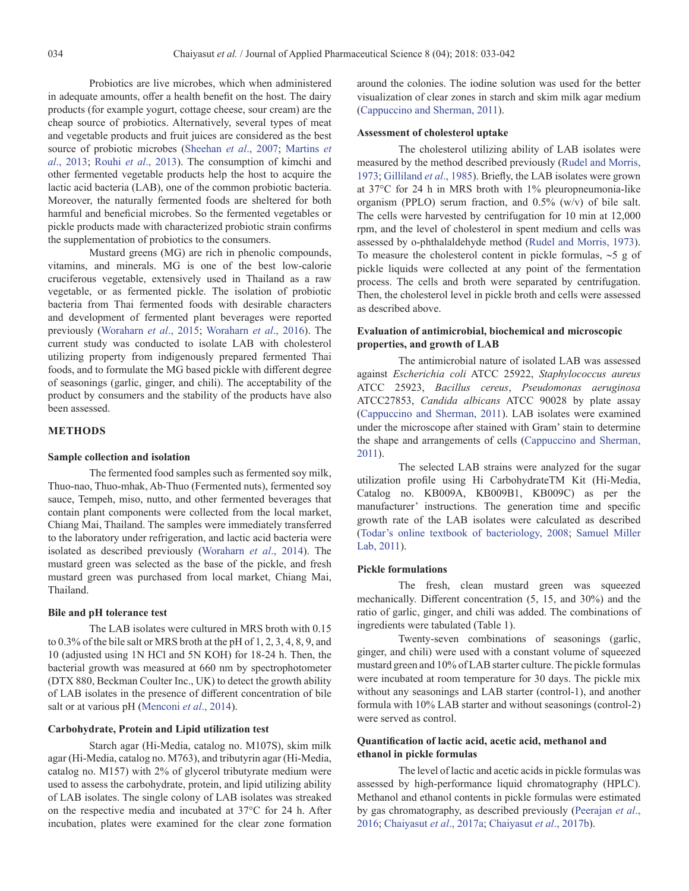Probiotics are live microbes, which when administered in adequate amounts, offer a health benefit on the host. The dairy products (for example yogurt, cottage cheese, sour cream) are the cheap source of probiotics. Alternatively, several types of meat and vegetable products and fruit juices are considered as the best source of probiotic microbes [\(Sheehan](#page-9-4) *et al*., 2007; [Martins](#page-8-4) *et al*[., 2013;](#page-8-4) Rouhi *et al*[., 2013](#page-9-5)). The consumption of kimchi and other fermented vegetable products help the host to acquire the lactic acid bacteria (LAB), one of the common probiotic bacteria. Moreover, the naturally fermented foods are sheltered for both harmful and beneficial microbes. So the fermented vegetables or pickle products made with characterized probiotic strain confirms the supplementation of probiotics to the consumers.

Mustard greens (MG) are rich in phenolic compounds, vitamins, and minerals. MG is one of the best low-calorie cruciferous vegetable, extensively used in Thailand as a raw vegetable, or as fermented pickle. The isolation of probiotic bacteria from Thai fermented foods with desirable characters and development of fermented plant beverages were reported previously ([Woraharn](#page-9-6) *et al*., 2015; Woraharn *et al*., 2016). The current study was conducted to isolate LAB with cholesterol utilizing property from indigenously prepared fermented Thai foods, and to formulate the MG based pickle with different degree of seasonings (garlic, ginger, and chili). The acceptability of the product by consumers and the stability of the products have also been assessed.

# **METHODS**

#### **Sample collection and isolation**

The fermented food samples such as fermented soy milk, Thuo-nao, Thuo-mhak, Ab-Thuo (Fermented nuts), fermented soy sauce, Tempeh, miso, nutto, and other fermented beverages that contain plant components were collected from the local market, Chiang Mai, Thailand. The samples were immediately transferred to the laboratory under refrigeration, and lactic acid bacteria were isolated as described previously ([Woraharn](#page-9-7) *et al*., 2014). The mustard green was selected as the base of the pickle, and fresh mustard green was purchased from local market, Chiang Mai, Thailand.

# **Bile and pH tolerance test**

The LAB isolates were cultured in MRS broth with 0.15 to 0.3% of the bile salt or MRS broth at the pH of 1, 2, 3, 4, 8, 9, and 10 (adjusted using 1N HCl and 5N KOH) for 18-24 h. Then, the bacterial growth was measured at 660 nm by spectrophotometer (DTX 880, Beckman Coulter Inc., UK) to detect the growth ability of LAB isolates in the presence of different concentration of bile salt or at various pH ([Menconi](#page-8-5) *et al*., 2014).

# **Carbohydrate, Protein and Lipid utilization test**

Starch agar (Hi-Media, catalog no. M107S), skim milk agar (Hi-Media, catalog no. M763), and tributyrin agar (Hi-Media, catalog no. M157) with 2% of glycerol tributyrate medium were used to assess the carbohydrate, protein, and lipid utilizing ability of LAB isolates. The single colony of LAB isolates was streaked on the respective media and incubated at 37°C for 24 h. After incubation, plates were examined for the clear zone formation around the colonies. The iodine solution was used for the better visualization of clear zones in starch and skim milk agar medium ([Cappuccino and Sherman, 2011\)](#page-8-6).

#### **Assessment of cholesterol uptake**

The cholesterol utilizing ability of LAB isolates were measured by the method described previously [\(Rudel and Morris,](#page-9-8) [1973;](#page-9-8) [Gilliland](#page-8-7) *et al*., 1985). Briefly, the LAB isolates were grown at 37°C for 24 h in MRS broth with 1% pleuropneumonia-like organism (PPLO) serum fraction, and 0.5% (w/v) of bile salt. The cells were harvested by centrifugation for 10 min at 12,000 rpm, and the level of cholesterol in spent medium and cells was assessed by o-phthalaldehyde method [\(Rudel and Morris, 1973\)](#page-9-8). To measure the cholesterol content in pickle formulas, ∼5 g of pickle liquids were collected at any point of the fermentation process. The cells and broth were separated by centrifugation. Then, the cholesterol level in pickle broth and cells were assessed as described above.

# **Evaluation of antimicrobial, biochemical and microscopic properties, and growth of LAB**

The antimicrobial nature of isolated LAB was assessed against *Escherichia coli* ATCC 25922, *Staphylococcus aureus* ATCC 25923, *Bacillus cereus*, *Pseudomonas aeruginosa* ATCC27853, *Candida albicans* ATCC 90028 by plate assay ([Cappuccino and Sherman, 2011](#page-8-6)). LAB isolates were examined under the microscope after stained with Gram' stain to determine the shape and arrangements of cells [\(Cappuccino and Sherman,](#page-8-6) [2011](#page-8-6)).

The selected LAB strains were analyzed for the sugar utilization profile using Hi CarbohydrateTM Kit (Hi-Media, Catalog no. KB009A, KB009B1, KB009C) as per the manufacturer' instructions. The generation time and specific growth rate of the LAB isolates were calculated as described (Todar's online textbook of bacteriology, 2008; [Samuel Miller](#page-9-9) [Lab, 2011\)](#page-9-9).

#### **Pickle formulations**

The fresh, clean mustard green was squeezed mechanically. Different concentration (5, 15, and 30%) and the ratio of garlic, ginger, and chili was added. The combinations of ingredients were tabulated (Table 1).

Twenty-seven combinations of seasonings (garlic, ginger, and chili) were used with a constant volume of squeezed mustard green and 10% of LAB starter culture. The pickle formulas were incubated at room temperature for 30 days. The pickle mix without any seasonings and LAB starter (control-1), and another formula with 10% LAB starter and without seasonings (control-2) were served as control.

# **Quantification of lactic acid, acetic acid, methanol and ethanol in pickle formulas**

The level of lactic and acetic acids in pickle formulas was assessed by high-performance liquid chromatography (HPLC). Methanol and ethanol contents in pickle formulas were estimated by gas chromatography, as described previously [\(Peerajan](#page-9-10) *et al*., [2016;](#page-9-10) [Chaiyasut](#page-8-8) *et al*., 2017a; [Chaiyasut](#page-8-9) *et al*., 2017b).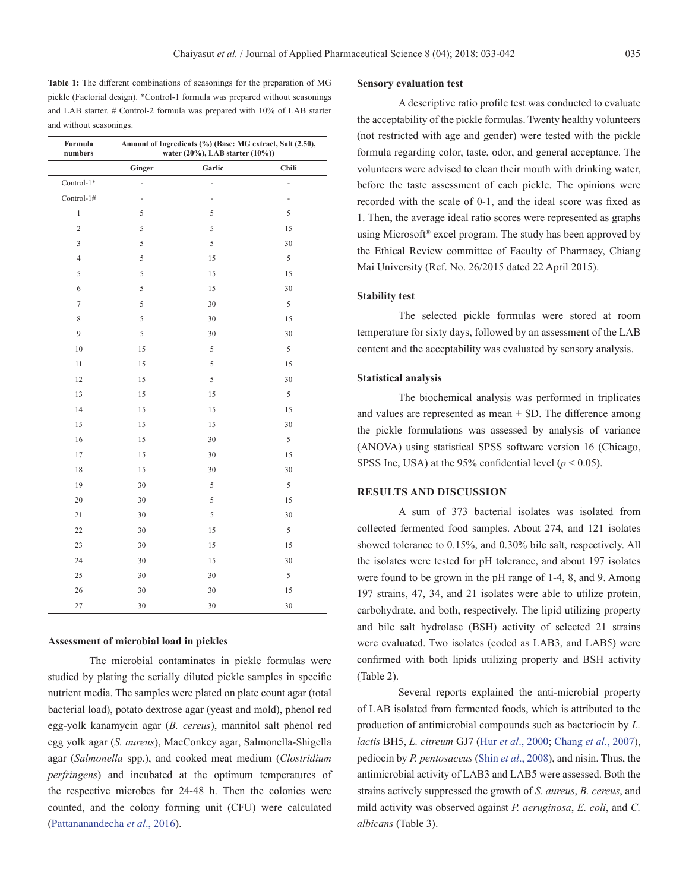**Table 1:** The different combinations of seasonings for the preparation of MG pickle (Factorial design). \*Control-1 formula was prepared without seasonings and LAB starter. # Control-2 formula was prepared with 10% of LAB starter and without seasonings.

| Formula<br>numbers | Amount of Ingredients (%) (Base: MG extract, Salt (2.50),<br>water (20%), LAB starter (10%)) |                          |       |  |  |  |
|--------------------|----------------------------------------------------------------------------------------------|--------------------------|-------|--|--|--|
|                    | Ginger                                                                                       | Garlic                   | Chili |  |  |  |
| Control-1*         | $\frac{1}{2}$                                                                                | ÷,                       | ÷,    |  |  |  |
| Control-1#         | -                                                                                            | $\overline{\phantom{0}}$ | -     |  |  |  |
| $\mathbf{1}$       | 5                                                                                            | 5                        | 5     |  |  |  |
| $\overline{c}$     | 5                                                                                            | 5                        | 15    |  |  |  |
| 3                  | 5                                                                                            | 5                        | 30    |  |  |  |
| $\overline{4}$     | 5                                                                                            | 15                       | 5     |  |  |  |
| 5                  | 5                                                                                            | 15                       | 15    |  |  |  |
| 6                  | 5                                                                                            | 15                       | 30    |  |  |  |
| $\tau$             | 5                                                                                            | 30                       | 5     |  |  |  |
| 8                  | 5                                                                                            | 30                       | 15    |  |  |  |
| 9                  | 5                                                                                            | 30                       | 30    |  |  |  |
| $10\,$             | 15                                                                                           | 5                        | 5     |  |  |  |
| 11                 | 15                                                                                           | 5                        | 15    |  |  |  |
| 12                 | 15                                                                                           | 5                        | 30    |  |  |  |
| 13                 | 15                                                                                           | 15                       | 5     |  |  |  |
| 14                 | 15                                                                                           | 15                       | 15    |  |  |  |
| 15                 | 15                                                                                           | 15                       | 30    |  |  |  |
| 16                 | 15                                                                                           | 30                       | 5     |  |  |  |
| 17                 | 15                                                                                           | 30                       | 15    |  |  |  |
| $18\,$             | 15                                                                                           | 30                       | 30    |  |  |  |
| 19                 | 30                                                                                           | 5                        | 5     |  |  |  |
| 20                 | 30                                                                                           | 5                        | 15    |  |  |  |
| 21                 | 30                                                                                           | 5                        | 30    |  |  |  |
| 22                 | 30                                                                                           | 15                       | 5     |  |  |  |
| 23                 | 30                                                                                           | 15                       | 15    |  |  |  |
| 24                 | 30                                                                                           | 15                       | 30    |  |  |  |
| 25                 | 30                                                                                           | 30                       | 5     |  |  |  |
| 26                 | 30                                                                                           | 30                       | 15    |  |  |  |
| 27                 | 30                                                                                           | 30                       | 30    |  |  |  |

#### **Assessment of microbial load in pickles**

The microbial contaminates in pickle formulas were studied by plating the serially diluted pickle samples in specific nutrient media. The samples were plated on plate count agar (total bacterial load), potato dextrose agar (yeast and mold), phenol red egg-yolk kanamycin agar (*B. cereus*), mannitol salt phenol red egg yolk agar (*S. aureus*), MacConkey agar, Salmonella-Shigella agar (*Salmonella* spp.), and cooked meat medium (*Clostridium perfringens*) and incubated at the optimum temperatures of the respective microbes for 24-48 h. Then the colonies were counted, and the colony forming unit (CFU) were calculated ([Pattananandecha](#page-9-11) *et al*., 2016).

# **Sensory evaluation test**

A descriptive ratio profile test was conducted to evaluate the acceptability of the pickle formulas. Twenty healthy volunteers (not restricted with age and gender) were tested with the pickle formula regarding color, taste, odor, and general acceptance. The volunteers were advised to clean their mouth with drinking water, before the taste assessment of each pickle. The opinions were recorded with the scale of 0-1, and the ideal score was fixed as 1. Then, the average ideal ratio scores were represented as graphs using Microsoft® excel program. The study has been approved by the Ethical Review committee of Faculty of Pharmacy, Chiang Mai University (Ref. No. 26/2015 dated 22 April 2015).

# **Stability test**

The selected pickle formulas were stored at room temperature for sixty days, followed by an assessment of the LAB content and the acceptability was evaluated by sensory analysis.

# **Statistical analysis**

The biochemical analysis was performed in triplicates and values are represented as mean  $\pm$  SD. The difference among the pickle formulations was assessed by analysis of variance (ANOVA) using statistical SPSS software version 16 (Chicago, SPSS Inc, USA) at the 95% confidential level ( $p < 0.05$ ).

# **RESULTS AND DISCUSSION**

A sum of 373 bacterial isolates was isolated from collected fermented food samples. About 274, and 121 isolates showed tolerance to 0.15%, and 0.30% bile salt, respectively. All the isolates were tested for pH tolerance, and about 197 isolates were found to be grown in the pH range of 1-4, 8, and 9. Among 197 strains, 47, 34, and 21 isolates were able to utilize protein, carbohydrate, and both, respectively. The lipid utilizing property and bile salt hydrolase (BSH) activity of selected 21 strains were evaluated. Two isolates (coded as LAB3, and LAB5) were confirmed with both lipids utilizing property and BSH activity (Table 2).

Several reports explained the anti-microbial property of LAB isolated from fermented foods, which is attributed to the production of antimicrobial compounds such as bacteriocin by *L. lactis* BH5, *L. citreum* GJ7 (Hur *et al*[., 2000;](#page-8-10) [Chang](#page-8-11) *et al*., 2007), pediocin by *P. pentosaceus* (Shin *et al*[., 2008\)](#page-9-12), and nisin. Thus, the antimicrobial activity of LAB3 and LAB5 were assessed. Both the strains actively suppressed the growth of *S. aureus*, *B. cereus*, and mild activity was observed against *P. aeruginosa*, *E. coli*, and *C. albicans* (Table 3).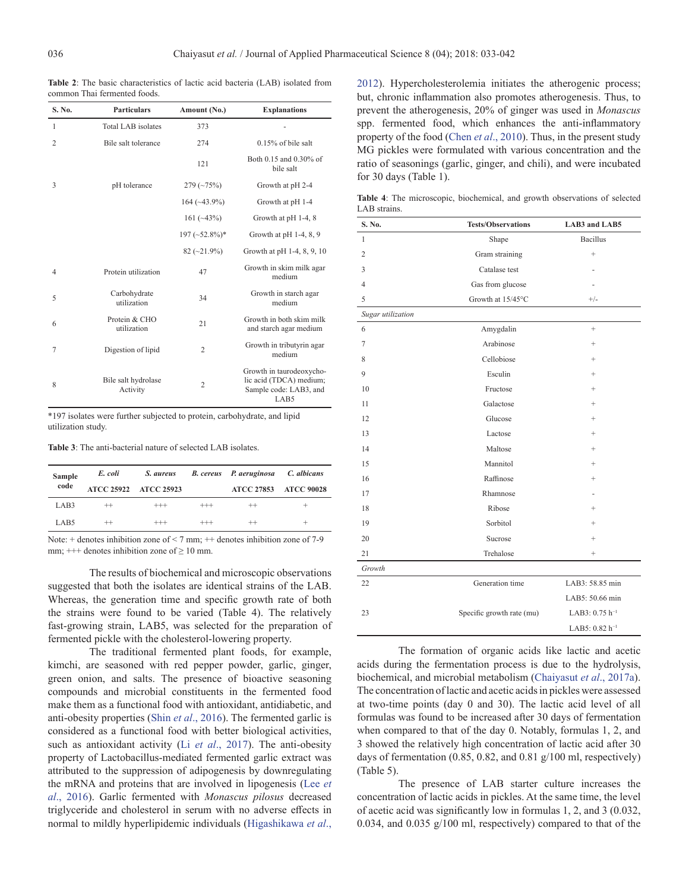| S. No.         | <b>Particulars</b>              | Amount (No.)      | <b>Explanations</b>                                                                   |
|----------------|---------------------------------|-------------------|---------------------------------------------------------------------------------------|
| 1              | <b>Total LAB</b> isolates       | 373               |                                                                                       |
| $\overline{c}$ | Bile salt tolerance             | 274               | $0.15\%$ of bile salt                                                                 |
|                |                                 | 121               | Both 0.15 and 0.30% of<br>bile salt                                                   |
| 3              | pH tolerance                    | $279(-75%)$       | Growth at pH 2-4                                                                      |
|                |                                 | $164 (-43.9\%)$   | Growth at pH 1-4                                                                      |
|                |                                 | $161 (-43%)$      | Growth at pH 1-4, 8                                                                   |
|                |                                 | $197\ (-52.8\%)*$ | Growth at $pH$ 1-4, 8, 9                                                              |
|                |                                 | $82 (-21.9\%)$    | Growth at pH 1-4, 8, 9, 10                                                            |
| 4              | Protein utilization             | 47                | Growth in skim milk agar<br>medium                                                    |
| 5              | Carbohydrate<br>utilization     | 34                | Growth in starch agar<br>medium                                                       |
| 6              | Protein & CHO<br>utilization    | 21                | Growth in both skim milk<br>and starch agar medium                                    |
| 7              | Digestion of lipid              | $\overline{2}$    | Growth in tributyrin agar<br>medium                                                   |
| 8              | Bile salt hydrolase<br>Activity | $\overline{2}$    | Growth in taurodeoxycho-<br>lic acid (TDCA) medium;<br>Sample code: LAB3, and<br>LAB5 |

**Table 2**: The basic characteristics of lactic acid bacteria (LAB) isolated from common Thai fermented foods.

\*197 isolates were further subjected to protein, carbohydrate, and lipid utilization study.

**Table 3**: The anti-bacterial nature of selected LAB isolates.

| Sample<br>code | E. coli | S. aureus             |     | B. cereus P. aeruginosa C. albicans |  |
|----------------|---------|-----------------------|-----|-------------------------------------|--|
|                |         | ATCC 25922 ATCC 25923 |     | ATCC 27853 ATCC 90028               |  |
| LAB3           | $^{++}$ | $^{+++}$              | --- | $^{++}$                             |  |
| LAB5           | $^{++}$ |                       | --- | $^{++}$                             |  |

Note:  $+$  denotes inhibition zone of  $< 7$  mm;  $++$  denotes inhibition zone of 7-9 mm;  $++$  denotes inhibition zone of  $\geq 10$  mm.

The results of biochemical and microscopic observations suggested that both the isolates are identical strains of the LAB. Whereas, the generation time and specific growth rate of both the strains were found to be varied (Table 4). The relatively fast-growing strain, LAB5, was selected for the preparation of fermented pickle with the cholesterol-lowering property.

The traditional fermented plant foods, for example, kimchi, are seasoned with red pepper powder, garlic, ginger, green onion, and salts. The presence of bioactive seasoning compounds and microbial constituents in the fermented food make them as a functional food with antioxidant, antidiabetic, and anti-obesity properties (Shin *et al*[., 2016](#page-9-13)). The fermented garlic is considered as a functional food with better biological activities, such as antioxidant activity (Li *et al*[., 2017](#page-8-12)). The anti-obesity property of Lactobacillus-mediated fermented garlic extract was attributed to the suppression of adipogenesis by downregulating the mRNA and proteins that are involved in lipogenesis ([Lee](#page-8-13) *et al*[., 2016](#page-8-13)). Garlic fermented with *Monascus pilosus* decreased triglyceride and cholesterol in serum with no adverse effects in normal to mildly hyperlipidemic individuals ([Higashikawa](#page-8-14) *et al*., [2012\)](#page-8-14). Hypercholesterolemia initiates the atherogenic process; but, chronic inflammation also promotes atherogenesis. Thus, to prevent the atherogenesis, 20% of ginger was used in *Monascus* spp. fermented food, which enhances the anti-inflammatory property of the food (Chen *et al*[., 2010](#page-8-15)). Thus, in the present study MG pickles were formulated with various concentration and the ratio of seasonings (garlic, ginger, and chili), and were incubated for 30 days (Table 1).

**Table 4**: The microscopic, biochemical, and growth observations of selected LAB strains.

| S. No.            | <b>Tests/Observations</b> | LAB3 and LAB5       |
|-------------------|---------------------------|---------------------|
| $\mathbf{1}$      | Shape                     | <b>Bacillus</b>     |
| $\overline{c}$    | Gram straining            | $^{+}$              |
| 3                 | Catalase test             |                     |
| $\overline{4}$    | Gas from glucose          |                     |
| 5                 | Growth at 15/45°C         | $+/-$               |
| Sugar utilization |                           |                     |
| 6                 | Amygdalin                 | $+$                 |
| 7                 | Arabinose                 | $^{+}$              |
| 8                 | Cellobiose                | $^{+}$              |
| 9                 | Esculin                   | $^{+}$              |
| 10                | Fructose                  | $^{+}$              |
| 11                | Galactose                 | $^{+}$              |
| 12                | Glucose                   | $+$                 |
| 13                | Lactose                   | $^{+}$              |
| 14                | Maltose                   | $^{+}$              |
| 15                | Mannitol                  | $^{+}$              |
| 16                | Raffinose                 | $^{+}$              |
| 17                | Rhamnose                  |                     |
| 18                | Ribose                    | $^{+}$              |
| 19                | Sorbitol                  | $^{+}$              |
| 20                | Sucrose                   | $^{+}$              |
| 21                | Trehalose                 | $\! + \!\!\!\!$     |
| Growth            |                           |                     |
| 22                | Generation time           | LAB3: 58.85 min     |
|                   |                           | LAB5: 50.66 min     |
| 23                | Specific growth rate (mu) | LAB3: $0.75 h^{-1}$ |
|                   |                           | LAB5: $0.82 h^{-1}$ |

The formation of organic acids like lactic and acetic acids during the fermentation process is due to the hydrolysis, biochemical, and microbial metabolism [\(Chaiyasut](#page-8-8) *et al*., 2017a). The concentration of lactic and acetic acids in pickles were assessed at two-time points (day 0 and 30). The lactic acid level of all formulas was found to be increased after 30 days of fermentation when compared to that of the day 0. Notably, formulas 1, 2, and 3 showed the relatively high concentration of lactic acid after 30 days of fermentation (0.85, 0.82, and 0.81 g/100 ml, respectively) (Table 5).

The presence of LAB starter culture increases the concentration of lactic acids in pickles. At the same time, the level of acetic acid was significantly low in formulas 1, 2, and 3 (0.032, 0.034, and 0.035 g/100 ml, respectively) compared to that of the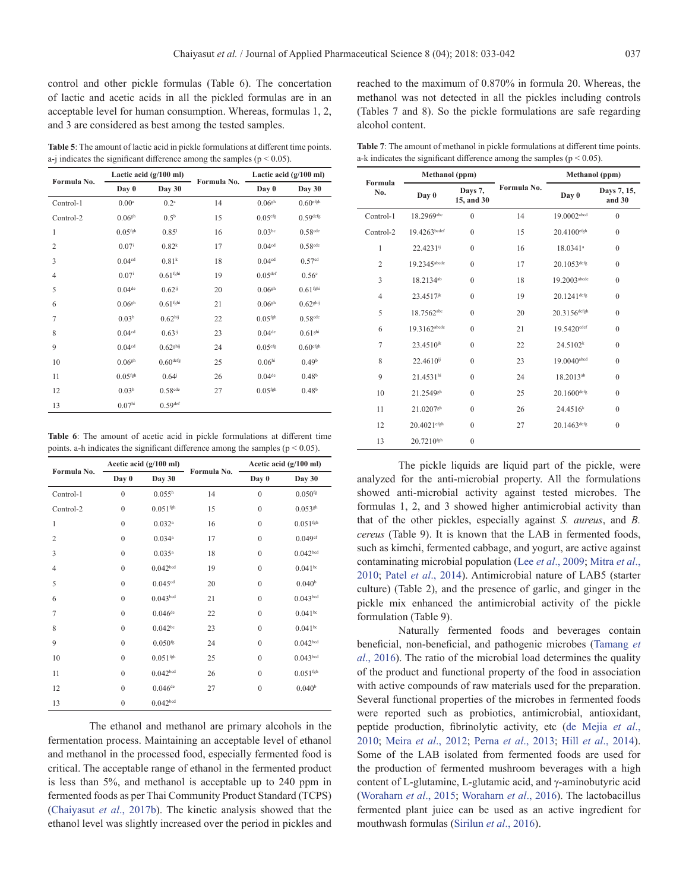control and other pickle formulas (Table 6). The concertation of lactic and acetic acids in all the pickled formulas are in an acceptable level for human consumption. Whereas, formulas 1, 2, and 3 are considered as best among the tested samples.

**Table 5**: The amount of lactic acid in pickle formulations at different time points. a-j indicates the significant difference among the samples ( $p < 0.05$ ).

| Formula No.    | Lactic acid $(g/100 \text{ ml})$ |                        | Formula No. | Lactic acid $(g/100 \text{ ml})$ |                        |  |
|----------------|----------------------------------|------------------------|-------------|----------------------------------|------------------------|--|
|                | Day 0                            | Day 30                 |             | Day 0                            | Day 30                 |  |
| Control-1      | 0.00 <sup>a</sup>                | 0.2 <sup>a</sup>       | 14          | $0.06$ sh                        | $0.60$ cfgh            |  |
| Control-2      | $0.06$ <sup>gh</sup>             | 0.5 <sup>b</sup>       | 15          | 0.05 <sup>cfg</sup>              | 0.59 <sup>def</sup> g  |  |
| $\mathbf 1$    | $0.05$ fgh                       | 0.85 <sup>1</sup>      | 16          | $0.03^{bc}$                      | $0.58$ <sup>cde</sup>  |  |
| $\overline{2}$ | $0.07^{i}$                       | 0.82 <sup>k</sup>      | 17          | 0.04 <sup>cd</sup>               | $0.58$ <sup>cde</sup>  |  |
| 3              | 0.04 <sup>cd</sup>               | $0.81^{k}$             | 18          | 0.04 <sup>cd</sup>               | 0.57 <sup>cd</sup>     |  |
| $\overline{4}$ | $0.07^{i}$                       | $0.61f$ ghi            | 19          | 0.05 <sup>def</sup>              | 0.56 <sup>c</sup>      |  |
| 5              | 0.04 <sup>dc</sup>               | $0.62^{i}$             | 20          | $0.06$ sh                        | $0.61f$ ghi            |  |
| 6              | $0.06$ sh                        | $0.61f$ ghi            | 21          | $0.06$ sh                        | $0.62$ <sup>shij</sup> |  |
| $\overline{7}$ | 0.03 <sup>b</sup>                | 0.62 <sup>hij</sup>    | 22          | $0.05$ fgh                       | $0.58$ <sup>cde</sup>  |  |
| 8              | 0.04 <sup>cd</sup>               | $0.63^{ij}$            | 23          | $0.04^{de}$                      | 0.61 <sup>ghi</sup>    |  |
| 9              | 0.04 <sup>cd</sup>               | $0.62$ <sup>ghij</sup> | 24          | 0.05 <sup>cfg</sup>              | $0.60$ cfgh            |  |
| 10             | $0.06$ sh                        | 0.60 <sup>def</sup> g  | 25          | 0.06 <sup>hi</sup>               | 0.49 <sup>b</sup>      |  |
| 11             | $0.05$ fgh                       | $0.64^{j}$             | 26          | 0.04 <sup>dc</sup>               | 0.48 <sup>b</sup>      |  |
| 12             | 0.03 <sup>b</sup>                | $0.58$ cde             | 27          | $0.05$ fgh                       | 0.48 <sup>b</sup>      |  |
| 13             | 0.07 <sup>hi</sup>               | 0.59 <sup>def</sup>    |             |                                  |                        |  |

**Table 6**: The amount of acetic acid in pickle formulations at different time points. a-h indicates the significant difference among the samples ( $p < 0.05$ ).

|                | Acetic acid (g/100 ml) |                        |             | Acetic acid $(g/100 \text{ ml})$ |                        |  |
|----------------|------------------------|------------------------|-------------|----------------------------------|------------------------|--|
| Formula No.    | Day 0                  | Day 30                 | Formula No. | Day 0                            | Day 30                 |  |
| Control-1      | $\mathbf{0}$           | $0.055^{\rm h}$        | 14          | $\mathbf{0}$                     | $0.050$ fg             |  |
| Control-2      | $\mathbf{0}$           | $0.051$ <sup>fgh</sup> | 15          | $\mathbf{0}$                     | $0.053$ sh             |  |
| 1              | $\mathbf{0}$           | $0.032$ <sup>a</sup>   | 16          | $\mathbf{0}$                     | $0.051$ <sup>fgh</sup> |  |
| $\overline{2}$ | $\mathbf{0}$           | $0.034^{a}$            | 17          | $\mathbf{0}$                     | $0.049$ <sup>ef</sup>  |  |
| 3              | $\mathbf{0}$           | $0.035^{a}$            | 18          | $\mathbf{0}$                     | 0.042 <sup>bcd</sup>   |  |
| $\overline{4}$ | $\mathbf{0}$           | 0.042 <sub>bcd</sub>   | 19          | $\mathbf{0}$                     | $0.041^{bc}$           |  |
| 5              | $\mathbf{0}$           | 0.045 <sup>cd</sup>    | 20          | $\mathbf{0}$                     | 0.040 <sup>b</sup>     |  |
| 6              | $\mathbf{0}$           | 0.043 <sup>bcd</sup>   | 21          | $\mathbf{0}$                     | 0.043 <sub>bcd</sub>   |  |
| $\overline{7}$ | $\mathbf{0}$           | $0.046^{de}$           | 22          | $\mathbf{0}$                     | $0.041^{bc}$           |  |
| 8              | $\mathbf{0}$           | $0.042^{bc}$           | 23          | $\mathbf{0}$                     | $0.041^{bc}$           |  |
| 9              | $\mathbf{0}$           | $0.050$ fg             | 24          | $\mathbf{0}$                     | 0.042 <sup>bcd</sup>   |  |
| 10             | $\mathbf{0}$           | $0.051$ <sup>fgh</sup> | 25          | $\mathbf{0}$                     | 0.043 <sup>bcd</sup>   |  |
| 11             | $\mathbf{0}$           | 0.042 <sup>bcd</sup>   | 26          | $\mathbf{0}$                     | $0.051$ <sup>fgh</sup> |  |
| 12             | $\mathbf{0}$           | $0.046^{de}$           | 27          | $\boldsymbol{0}$                 | 0.040 <sup>b</sup>     |  |
| 13             | $\mathbf{0}$           | 0.042 <sub>bcd</sub>   |             |                                  |                        |  |

The ethanol and methanol are primary alcohols in the fermentation process. Maintaining an acceptable level of ethanol and methanol in the processed food, especially fermented food is critical. The acceptable range of ethanol in the fermented product is less than 5%, and methanol is acceptable up to 240 ppm in fermented foods as per Thai Community Product Standard (TCPS) ([Chaiyasut](#page-8-9) *et al*., 2017b). The kinetic analysis showed that the ethanol level was slightly increased over the period in pickles and

reached to the maximum of 0.870% in formula 20. Whereas, the methanol was not detected in all the pickles including controls (Tables 7 and 8). So the pickle formulations are safe regarding alcohol content.

**Table 7**: The amount of methanol in pickle formulations at different time points. a-k indicates the significant difference among the samples ( $p < 0.05$ ).

|                | Methanol (ppm)           |                       |             | Methanol (ppm)            |                       |  |
|----------------|--------------------------|-----------------------|-------------|---------------------------|-----------------------|--|
| Formula<br>No. | Day 0                    | Days 7,<br>15, and 30 | Formula No. | Day 0                     | Days 7, 15,<br>and 30 |  |
| Control-1      | 18.2969abc               | $\overline{0}$        | 14          | 19.0002abcd               | $\mathbf{0}$          |  |
| Control-2      | 19.4263bcdcf             | $\mathbf{0}$          | 15          | 20.4100 <sup>cfgh</sup>   | $\mathbf{0}$          |  |
| 1              | 22.4231ij                | $\theta$              | 16          | 18.0341 <sup>a</sup>      | $\mathbf{0}$          |  |
| $\overline{2}$ | 19.2345abcde             | $\theta$              | 17          | $20.1053$ defg            | $\mathbf{0}$          |  |
| 3              | 18.2134 <sup>ab</sup>    | $\mathbf{0}$          | 18          | 19.2003abcdc              | $\mathbf{0}$          |  |
| $\overline{4}$ | 23.4517 <sup>jk</sup>    | $\mathbf{0}$          | 19          | $20.1241$ <sup>defg</sup> | $\mathbf{0}$          |  |
| 5              | 18.7562abc               | $\mathbf{0}$          | 20          | 20.3156defgh              | $\mathbf{0}$          |  |
| 6              | 19.3162abcde             | $\theta$              | 21          | 19.5420 <sup>cdcf</sup>   | $\mathbf{0}$          |  |
| $\overline{7}$ | 23.4510 <sup>jk</sup>    | $\mathbf{0}$          | 22          | 24.5102 <sup>k</sup>      | $\mathbf{0}$          |  |
| 8              | 22.4610ij                | $\mathbf{0}$          | 23          | 19.0040abcd               | $\mathbf{0}$          |  |
| 9              | 21.4531hi                | $\mathbf{0}$          | 24          | 18.2013 <sup>ab</sup>     | $\mathbf{0}$          |  |
| 10             | 21.2549sh                | $\mathbf{0}$          | 25          | $20.1600$ defg            | $\mathbf{0}$          |  |
| 11             | 21.0207sh                | $\theta$              | 26          | 24.4516 <sup>k</sup>      | $\mathbf{0}$          |  |
| 12             | $20.4021^{\text{efgh}}$  | $\theta$              | 27          | $20.1463$ defg            | $\mathbf{0}$          |  |
| 13             | $20.7210$ <sup>fgh</sup> | $\mathbf{0}$          |             |                           |                       |  |

The pickle liquids are liquid part of the pickle, were analyzed for the anti-microbial property. All the formulations showed anti-microbial activity against tested microbes. The formulas 1, 2, and 3 showed higher antimicrobial activity than that of the other pickles, especially against *S. aureus*, and *B. cereus* (Table 9). It is known that the LAB in fermented foods, such as kimchi, fermented cabbage, and yogurt, are active against contaminating microbial population (Lee *et al*[., 2009;](#page-8-16) [Mitra](#page-8-17) *et al*., [2010;](#page-8-17) Patel *et al*[., 2014](#page-9-14)). Antimicrobial nature of LAB5 (starter culture) (Table 2), and the presence of garlic, and ginger in the pickle mix enhanced the antimicrobial activity of the pickle formulation (Table 9).

Naturally fermented foods and beverages contain beneficial, non-beneficial, and pathogenic microbes ([Tamang](#page-9-15) *et al*[., 2016\)](#page-9-15). The ratio of the microbial load determines the quality of the product and functional property of the food in association with active compounds of raw materials used for the preparation. Several functional properties of the microbes in fermented foods were reported such as probiotics, antimicrobial, antioxidant, peptide production, fibrinolytic activity, etc ([de Mejia](#page-8-18) *et al*., [2010;](#page-8-18) Meira *et al*[., 2012](#page-8-19); Perna *et al*[., 2013](#page-9-16); Hill *et al*[., 2014\)](#page-8-20). Some of the LAB isolated from fermented foods are used for the production of fermented mushroom beverages with a high content of L-glutamine, L-glutamic acid, and γ-aminobutyric acid ([Woraharn](#page-9-6) *et al*., 2015; Woraharn *et al*., 2016). The lactobacillus fermented plant juice can be used as an active ingredient for mouthwash formulas ([Sirilun](#page-9-17) *et al*., 2016).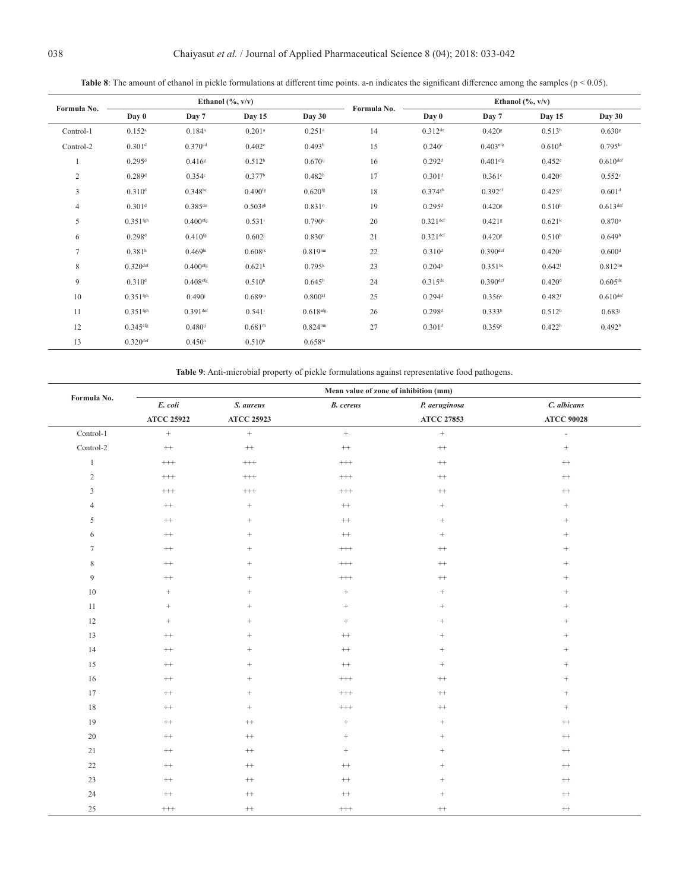| Ethanol $(\% , v/v)$<br>Formula No. |                        |                        |                      | Ethanol $(\% , v/v)$  |             |                       |                        |                      |                      |
|-------------------------------------|------------------------|------------------------|----------------------|-----------------------|-------------|-----------------------|------------------------|----------------------|----------------------|
|                                     | Day 0                  | Day 7                  | Day 15               | Day 30                | Formula No. | Day 0                 | Day 7                  | Day $15$             | <b>Day 30</b>        |
| Control-1                           | $0.152^{a}$            | $0.184^{\rm a}$        | $0.201$ <sup>a</sup> | $0.251$ <sup>a</sup>  | 14          | $0.312^{d}$           | $0.420$ <sup>s</sup>   | 0.513 <sup>h</sup>   | $0.630$ <sup>g</sup> |
| Control-2                           | 0.301 <sup>d</sup>     | $0.370$ <sup>cd</sup>  | $0.402^{\circ}$      | 0.493 <sup>b</sup>    | 15          | $0.240$ <sup>c</sup>  | 0.403 <sup>cfg</sup>   | $0.610^{jk}$         | $0.795^{ki}$         |
|                                     | $0.295$ <sup>d</sup>   | $0.416$ s              | 0.512 <sup>h</sup>   | $0.670$ <sup>ij</sup> | 16          | 0.292 <sup>d</sup>    | $0.401$ <sup>cfg</sup> | 0.452c               | $0.610$ def          |
| $\overline{2}$                      | 0.289 <sup>d</sup>     | 0.354c                 | 0.377 <sup>b</sup>   | 0.482 <sup>b</sup>    | 17          | 0.301 <sup>d</sup>    | $0.361$ c              | 0.420 <sup>d</sup>   | 0.552c               |
| 3                                   | 0.310 <sup>d</sup>     | $0.348^{bc}$           | 0.490 <sup>fg</sup>  | $0.620$ <sup>fg</sup> | 18          | $0.374$ <sup>gh</sup> | $0.392$ <sup>ef</sup>  | $0.425$ <sup>d</sup> | 0.601 <sup>d</sup>   |
| $\overline{4}$                      | 0.301 <sup>d</sup>     | $0.385^{d}$            | $0.503$ sh           | 0.831 <sup>n</sup>    | 19          | 0.295 <sup>d</sup>    | $0.420$ <sup>g</sup>   | 0.510 <sup>h</sup>   | $0.613$ def          |
| 5                                   | $0.351$ <sup>fgh</sup> | $0.400$ cfg            | $0.531$ <sup>i</sup> | 0.790 <sup>k</sup>    | 20          | $0.321$ def           | $0.421$ <sup>s</sup>   | $0.621^{k}$          | 0.870°               |
| 6                                   | 0.298 <sup>d</sup>     | $0.410$ <sup>fg</sup>  | $0.602^{j}$          | 0.830 <sup>n</sup>    | 21          | $0.321$ def           | $0.420$ <sup>s</sup>   | 0.510 <sup>h</sup>   | 0.649 <sup>h</sup>   |
| $\overline{7}$                      | 0.381 <sup>h</sup>     | 0.469 <sup>hi</sup>    | $0.608^{jk}$         | $0.819^{mn}$          | 22          | 0.310 <sup>d</sup>    | $0.390$ def            | 0.420 <sup>d</sup>   | 0.600 <sup>d</sup>   |
| 8                                   | $0.320$ def            | $0.400$ <sup>cfg</sup> | 0.621 <sup>k</sup>   | $0.795^{k}$           | 23          | 0.204 <sup>b</sup>    | $0.351^{bc}$           | 0.642 <sup>1</sup>   | $0.812^{lm}$         |
| 9                                   | 0.310 <sup>d</sup>     | 0.408 <sup>cfg</sup>   | 0.510 <sup>h</sup>   | $0.645^{\rm h}$       | 24          | $0.315^{de}$          | $0.390$ def            | 0.420 <sup>d</sup>   | $0.605^{de}$         |
| 10                                  | $0.351$ <sup>fgh</sup> | $0.490^{j}$            | 0.689 <sup>m</sup>   | $0.800^{kl}$          | 25          | 0.294 <sup>d</sup>    | 0.356c                 | $0.482$ <sup>f</sup> | $0.610$ def          |
| 11                                  | $0.351$ <sup>fgh</sup> | $0.391$ def            | $0.541$ <sup>i</sup> | 0.618 <sup>cfg</sup>  | 26          | 0.298 <sup>d</sup>    | 0.333 <sup>b</sup>     | 0.512 <sup>h</sup>   | $0.683^{j}$          |
| 12                                  | 0.345 <sup>efg</sup>   | $0.480^{i}$            | 0.681 <sup>m</sup>   | $0.824^{mn}$          | 27          | 0.301 <sup>d</sup>    | 0.359c                 | 0.422 <sup>h</sup>   | 0.492 <sup>b</sup>   |
| 13                                  | $0.320$ def            | 0.450 <sup>h</sup>     | 0.510 <sup>h</sup>   | 0.658 <sup>hi</sup>   |             |                       |                        |                      |                      |

Table 8: The amount of ethanol in pickle formulations at different time points. a-n indicates the significant difference among the samples (p < 0.05).

**Table 9**: Anti-microbial property of pickle formulations against representative food pathogens.

| Formula No.    | Mean value of zone of inhibition (mm) |                   |                  |                   |                   |  |  |
|----------------|---------------------------------------|-------------------|------------------|-------------------|-------------------|--|--|
|                | $E.$ $\,$ coli                        | S. aureus         | <b>B.</b> cereus | P. aeruginosa     | C. albicans       |  |  |
|                | <b>ATCC 25922</b>                     | <b>ATCC 25923</b> |                  | <b>ATCC 27853</b> | <b>ATCC 90028</b> |  |  |
| Control-1      | $\, +$                                | $\, +$            | $^+$             | $^+$              | ÷,                |  |  |
| $Control-2$    | $^{\rm ++}$                           | $^{++}\,$         | $^{++}\,$        | $^{++}\,$         | $^+$              |  |  |
| $\,1$          | $^{+++}$                              | $^{+++}$          | $\!+\!+\!+$      | $^{++}\,$         | $^{\rm ++}$       |  |  |
| $\overline{2}$ | $^{+++}$                              | $^{+++}$          | $\!+\!+\!+$      | $^{++}$           | $^{\rm ++}$       |  |  |
| $\mathfrak{Z}$ | $\!$                                  | $\!++\!$          | $\!+\!+\!+$      | $^{++}\,$         | $^{++}\,$         |  |  |
| $\overline{4}$ | $^{\rm ++}$                           | $^+$              | $^{++}\,$        | $^+$              | $^+$              |  |  |
| 5              | $^{\rm ++}$                           | $\qquad \qquad +$ | $^{++}\,$        | $+$               | $\qquad \qquad +$ |  |  |
| 6              | $^{++}\,$                             | $^+$              | $^{\rm ++}$      | $^+$              | $^+$              |  |  |
| $\tau$         | $^{++}\,$                             | $^+$              | $\!+\!+\!+$      | $^{++}\,$         | $^+$              |  |  |
| $\,$ 8 $\,$    | $^{++}\,$                             | $^+$              | $^{+++}$         | $^{++}\,$         | $\qquad \qquad +$ |  |  |
| 9              | $++$                                  | $^{+}$            | $^{+++}$         | $^{++}\,$         | $\! + \!\!\!\!$   |  |  |
| 10             | $\qquad \qquad +$                     | $^+$              | $^+$             | $\qquad \qquad +$ | $\qquad \qquad +$ |  |  |
| 11             | $\! + \!\!\!\!$                       | $^+$              | $^+$             | $^+$              | $^+$              |  |  |
| 12             | $^+$                                  | $^+$              | $^+$             | $\! + \!\!\!\!$   | $^+$              |  |  |
| 13             | $^{++}\,$                             | $^+$              | $^{\rm ++}$      | $\qquad \qquad +$ | $^+$              |  |  |
| 14             | $^{++}\,$                             | $^+$              | $^{\rm ++}$      | $\qquad \qquad +$ | $\qquad \qquad +$ |  |  |
| 15             | $^{++}\,$                             | $^+$              | $^{++}\,$        | $\qquad \qquad +$ | $^+$              |  |  |
| 16             | $^{\rm ++}$                           | $^+$              | $\!+\!+\!+$      | $^{++}\,$         | $^+$              |  |  |
| 17             | $^{++}\,$                             | $^+$              | $^{+++}$         | $^{++}\,$         | $\qquad \qquad +$ |  |  |
| 18             | $^{++}\,$                             | $^+$              | $\!+\!+\!+$      | $^{++}\,$         | $\qquad \qquad +$ |  |  |
| 19             | $^{++}\,$                             | $^{++}\,$         | $^+$             | $^+$              | $^{++}\,$         |  |  |
| 20             | $^{++}\,$                             | $^{++}\,$         | $^+$             | $+$               | $^{++}$           |  |  |
| 21             | $^{++}\,$                             | $^{++}\,$         | $\! +$           | $\! + \!\!\!\!$   | $^{++}\,$         |  |  |
| $22\,$         | $^{++}\,$                             | $^{++}$           | $^{\rm ++}$      | $\qquad \qquad +$ | $^{++}\,$         |  |  |
| 23             | $^{++}$                               | $^{++}\,$         | $^{\rm ++}$      | $\qquad \qquad +$ | $^{++}$           |  |  |
| 24             | $^{\rm ++}$                           | $^{++}\,$         | $^{++}\,$        | $\qquad \qquad +$ | $^{++}$           |  |  |
| 25             | $^{+++}$                              | $^{++}\,$         | $\!+\!+\!+$      | $^{++}\,$         | $^{++}\,$         |  |  |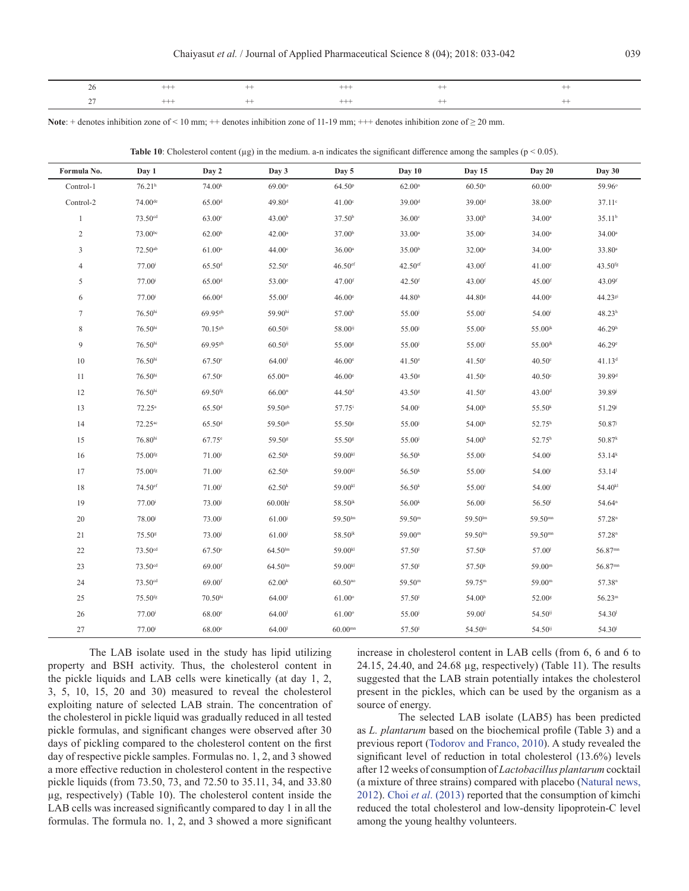| 26     | _____   | <b>Contractor</b><br>___ | ---- |  |
|--------|---------|--------------------------|------|--|
| $\sim$ | _______ |                          | ____ |  |

Note: + denotes inhibition zone of < 10 mm; ++ denotes inhibition zone of 11-19 mm; +++ denotes inhibition zone of  $\geq$  20 mm.

|  | <b>Table 10:</b> Cholesterol content ( $\mu$ g) in the medium. a-n indicates the significant difference among the samples ( $p < 0.05$ ). |  |
|--|-------------------------------------------------------------------------------------------------------------------------------------------|--|
|  |                                                                                                                                           |  |

| Formula No.    | Day 1                 | Day 2                 | Day 3                 | Day 5                 | Day 10                | Day 15             | Day 20               | Day 30              |
|----------------|-----------------------|-----------------------|-----------------------|-----------------------|-----------------------|--------------------|----------------------|---------------------|
| Control-1      | 76.21 <sup>h</sup>    | 74.00 <sup>k</sup>    | $69.00^\circ$         | 64.50 <sup>p</sup>    | 62.00 <sup>n</sup>    | 60.50 <sup>n</sup> | 60.00 <sup>n</sup>   | 59.96°              |
| Control-2      | 74.00 <sup>de</sup>   | 65.00 <sup>d</sup>    | 49.80 <sup>d</sup>    | 41.00 <sup>c</sup>    | 39.00 <sup>d</sup>    | 39.00 <sup>d</sup> | 38.00 <sup>b</sup>   | $37.11^{\circ}$     |
| $\mathbf{1}$   | 73.50 <sup>cd</sup>   | 63.00c                | 43.00 <sup>b</sup>    | 37.50 <sup>b</sup>    | 36.00°                | 33.00 <sup>b</sup> | 34.00a               | 35.11 <sup>b</sup>  |
| $\overline{c}$ | $73.00^{bc}$          | 62.00 <sup>b</sup>    | $42.00^a$             | 37.00 <sup>b</sup>    | $33.00^a$             | $35.00^\circ$      | $34.00^a$            | $34.00^a$           |
| 3              | $72.50^{ab}$          | $61.00^{\rm a}$       | 44.00 <sup>c</sup>    | 36.00a                | 35.00 <sup>b</sup>    | $32.00^{\rm a}$    | 34.00a               | 33.80a              |
| $\overline{4}$ | $77.00^{i}$           | $65.50$ <sup>d</sup>  | $52.50^\circ$         | $46.50$ <sup>ef</sup> | $42.50$ <sup>ef</sup> | $43.00$ f          | 41.00 <sup>c</sup>   | 43.50 <sup>fg</sup> |
| 5              | $77.00^{i}$           | 65.00 <sup>d</sup>    | 53.00°                | 47.00 <sup>f</sup>    | $42.50$ f             | $43.00$ f          | 45.00f               | 43.09f              |
| 6              | $77.00^{i}$           | 66.00 <sup>d</sup>    | 55.00 <sup>f</sup>    | 46.00 <sup>c</sup>    | 44.80 <sup>h</sup>    | 44.80 <sup>s</sup> | 44.00 <sup>c</sup>   | 44.23si             |
| $\tau$         | 76.50 <sup>hi</sup>   | 69.95sh               | 59.90hi               | 57.00h                | 55.00 <sup>j</sup>    | 55.00 <sup>i</sup> | 54.00 <sup>i</sup>   | 48.23h              |
| 8              | 76.50 <sup>hi</sup>   | $70.15$ <sup>gh</sup> | $60.50$ <sup>ij</sup> | 58.00 <sup>ij</sup>   | 55.00 <sup>j</sup>    | 55.00 <sup>i</sup> | 55.00 <sup>jk</sup>  | 46.29 <sup>h</sup>  |
| 9              | 76.50 <sup>hi</sup>   | 69.95sh               | $60.50$ <sup>ij</sup> | 55.00g                | 55.00 <sup>j</sup>    | 55.00 <sup>i</sup> | $55.00^{jk}$         | 46.29°              |
| $10\,$         | 76.50 <sup>hi</sup>   | $67.50$ <sup>c</sup>  | 64.00 <sup>1</sup>    | 46.00 <sup>c</sup>    | 41.50°                | 41.50 <sup>c</sup> | $40.50$ <sup>c</sup> | $41.13^{d}$         |
| 11             | 76.50 <sup>hi</sup>   | $67.50$ <sup>c</sup>  | 65.00 <sup>m</sup>    | 46.00 <sup>c</sup>    | 43.50 <sup>s</sup>    | $41.50^{\circ}$    | $40.50$ <sup>c</sup> | 39.89 <sup>d</sup>  |
| 12             | 76.50 <sup>hi</sup>   | 69.50 <sup>fg</sup>   | 66.00 <sup>n</sup>    | 44.50 <sup>d</sup>    | 43.50 <sup>s</sup>    | $41.50^{\circ}$    | 43.00 <sup>d</sup>   | 39.89i              |
| 13             | $72.25^a$             | 65.50 <sup>d</sup>    | 59.50sh               | 57.75 <sup>i</sup>    | 54.00 <sup>i</sup>    | 54.00h             | 55.50 <sup>k</sup>   | 51.29i              |
| 14             | $72.25$ <sup>ac</sup> | $65.50$ <sup>d</sup>  | 59.50sh               | 55.50g                | 55.00 <sup>j</sup>    | 54.00h             | 52.75h               | 50.87 <sup>j</sup>  |
| 15             | 76.80 <sup>hi</sup>   | $67.75$ <sup>e</sup>  | 59.50g                | 55.50g                | 55.00 <sup>j</sup>    | 54.00 <sup>h</sup> | 52.75h               | 50.87 <sup>k</sup>  |
| 16             | $75.00$ fg            | $71.00^{\rm i}$       | 62.50 <sup>k</sup>    | 59.00kl               | 56.50 <sup>k</sup>    | 55.00 <sup>i</sup> | 54.00 <sup>i</sup>   | 53.14k              |
| 17             | $75.00$ fg            | $71.00^{i}$           | 62.50 <sup>k</sup>    | 59.00kl               | 56.50 <sup>k</sup>    | 55.00 <sup>i</sup> | 54.00 <sup>i</sup>   | 53.14               |
| 18             | $74.50$ cf            | $71.00^{i}$           | 62.50 <sup>k</sup>    | 59.00kl               | 56.50 <sup>k</sup>    | 55.00 <sup>i</sup> | 54.00 <sup>i</sup>   | 54.40 <sup>kl</sup> |
| 19             | $77.00^{i}$           | $73.00^{j}$           | $60.00h$ <sup>i</sup> | 58.50 <sup>jk</sup>   | 56.00 <sup>k</sup>    | 56.00 <sup>j</sup> | 56.50                | 54.64 <sup>n</sup>  |
| $20\,$         | 78.00 <sup>i</sup>    | $73.00^{j}$           | $61.00^{j}$           | 59.50lm               | 59.50 <sup>m</sup>    | 59.50lm            | 59.50mm              | 57.28 <sup>n</sup>  |
| 21             | 75.50g                | 73.00 <sup>i</sup>    | $61.00^{j}$           | 58.50 <sup>jk</sup>   | 59.00 <sup>m</sup>    | 59.50lm            | 59.50mm              | 57.28 <sup>n</sup>  |
| 22             | 73.50 <sup>cd</sup>   | $67.50$ <sup>c</sup>  | 64.50 <sup>lm</sup>   | 59.00kl               | 57.50                 | 57.50 <sup>k</sup> | 57.00                | 56.87mm             |
| 23             | 73.50 <sup>cd</sup>   | 69.00f                | 64.50 <sup>lm</sup>   | 59.00kl               | 57.50                 | 57.50 <sup>k</sup> | 59.00 <sup>m</sup>   | 56.87mm             |
| 24             | 73.50 <sup>cd</sup>   | 69.00f                | $62.00^{k}$           | $60.50^{no}$          | 59.50 <sup>m</sup>    | 59.75 <sup>m</sup> | 59.00 <sup>m</sup>   | 57.38 <sup>n</sup>  |
| $25\,$         | $75.50$ fg            | 70.50 <sup>hi</sup>   | 64.00 <sup>1</sup>    | $61.00^\circ$         | 57.50                 | 54.00h             | 52.00 <sup>g</sup>   | 56.23 <sup>m</sup>  |
| 26             | $77.00^{i}$           | $68.00^{\circ}$       | 64.00 <sup>1</sup>    | $61.00^\circ$         | 55.00 <sup>j</sup>    | 59.00              | 54.50ij              | 54.30               |
| 27             | $77.00^{i}$           | $68.00^{\circ}$       | 64.00 <sup>1</sup>    | $60.00^{mn}$          | 57.50                 | 54.50hi            | 54.50ij              | 54.30               |

The LAB isolate used in the study has lipid utilizing property and BSH activity. Thus, the cholesterol content in the pickle liquids and LAB cells were kinetically (at day 1, 2, 3, 5, 10, 15, 20 and 30) measured to reveal the cholesterol exploiting nature of selected LAB strain. The concentration of the cholesterol in pickle liquid was gradually reduced in all tested pickle formulas, and significant changes were observed after 30 days of pickling compared to the cholesterol content on the first day of respective pickle samples. Formulas no. 1, 2, and 3 showed a more effective reduction in cholesterol content in the respective pickle liquids (from 73.50, 73, and 72.50 to 35.11, 34, and 33.80  $\mu$ g, respectively) (Table 10). The cholesterol content inside the LAB cells was increased significantly compared to day 1 in all the formulas. The formula no. 1, 2, and 3 showed a more significant

increase in cholesterol content in LAB cells (from 6, 6 and 6 to 24.15, 24.40, and 24.68 µg, respectively) (Table 11). The results suggested that the LAB strain potentially intakes the cholesterol present in the pickles, which can be used by the organism as a source of energy.

The selected LAB isolate (LAB5) has been predicted as L. plantarum based on the biochemical profile (Table 3) and a previous report (Todorov and Franco, 2010). A study revealed the significant level of reduction in total cholesterol (13.6%) levels after 12 weeks of consumption of *Lactobacillus plantarum* cocktail (a mixture of three strains) compared with placebo (Natural news, 2012). Choi et al. (2013) reported that the consumption of kimchi reduced the total cholesterol and low-density lipoprotein-C level among the young healthy volunteers.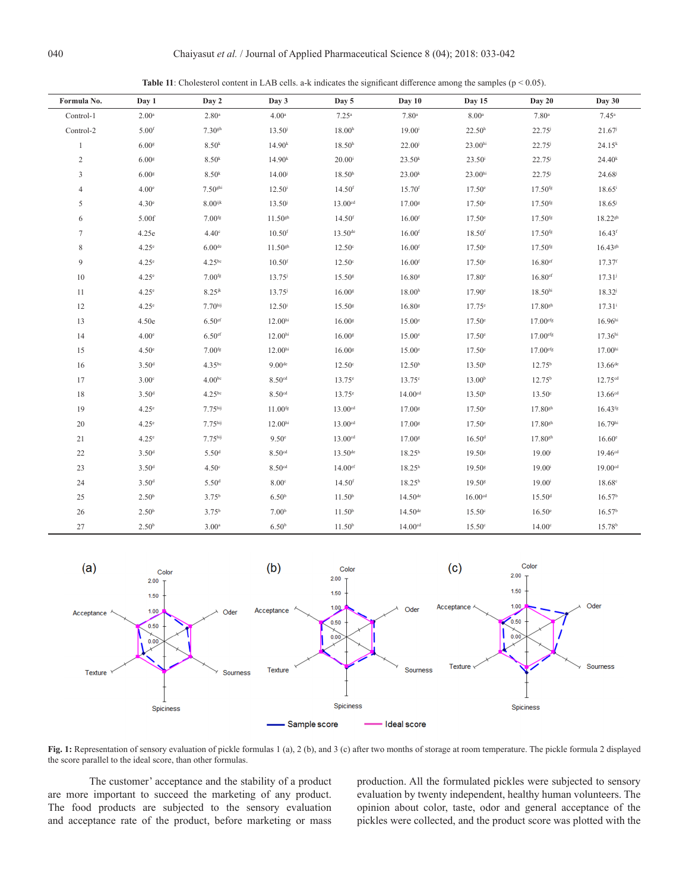Table 11: Cholesterol content in LAB cells. a-k indicates the significant difference among the samples ( $p < 0.05$ ).

| Formula No.      | Day 1             | Day 2                | Day 3                 | Day 5                 | Day 10               | Day 15               | Day 20                | Day 30                |
|------------------|-------------------|----------------------|-----------------------|-----------------------|----------------------|----------------------|-----------------------|-----------------------|
| Control-1        | 2.00 <sup>a</sup> | 2.80 <sup>a</sup>    | 4.00 <sup>a</sup>     | $7.25^{\rm a}$        | 7.80 <sup>a</sup>    | $8.00^{\rm a}$       | $7.80$ <sup>a</sup>   | $7.45^{\rm a}$        |
| Control-2        | $5.00$ f          | $7.30$ sh            | $13.50^{j}$           | 18.00 <sup>h</sup>    | $19.00^{i}$          | 22.50 <sup>h</sup>   | $22.75^{j}$           | 21.67 <sup>j</sup>    |
| $\mathbf{1}$     | $6.00$ g          | 8.50 <sup>k</sup>    | 14.90 <sup>k</sup>    | 18.50 <sup>h</sup>    | $22.00^{j}$          | 23.00 <sup>hi</sup>  | $22.75^{j}$           | $24.15^{k}$           |
| $\overline{c}$   | $6.00$ g          | 8.50 <sup>k</sup>    | 14.90 <sup>k</sup>    | $20.00^{i}$           | $23.50^{k}$          | $23.50^{i}$          | $22.75^{j}$           | 24.40 <sup>k</sup>    |
| 3                | $6.00$ g          | 8.50 <sup>k</sup>    | $14.00^{j}$           | 18.50 <sup>h</sup>    | $23.00^{k}$          | 23.00 <sup>hi</sup>  | $22.75^{j}$           | $24.68^{j}$           |
| 4                | 4.00 <sup>c</sup> | $7.50$ shi           | $12.50^{\rm i}$       | $14.50$ f             | $15.70$ f            | 17.50 <sup>c</sup>   | $17.50$ fg            | $18.65^{\rm i}$       |
| 5                | 4.30 <sup>c</sup> | $8.00$ ijk           | $13.50^{j}$           | 13.00 <sup>cd</sup>   | $17.00$ g            | 17.50 <sup>c</sup>   | $17.50$ fg            | $18.65^{j}$           |
| 6                | 5.00f             | $7.00$ fs            | $11.50^{gh}$          | $14.50$ <sup>f</sup>  | 16.00 <sup>f</sup>   | 17.50 <sup>c</sup>   | $17.50$ <sup>fg</sup> | $18.22$ <sup>gh</sup> |
| $\boldsymbol{7}$ | 4.25e             | 4.40 <sup>c</sup>    | $10.50$ f             | $13.50^{de}$          | $16.00$ f            | $18.50$ f            | $17.50$ fg            | $16.43$ f             |
| $\,8\,$          | 4.25 <sup>c</sup> | 6.00 <sup>dc</sup>   | $11.50$ sh            | 12.50 <sup>c</sup>    | $16.00$ <sup>f</sup> | 17.50 <sup>c</sup>   | $17.50$ fg            | $16.43$ <sup>gh</sup> |
| $\overline{9}$   | 4.25 <sup>e</sup> | 4.25 <sup>bc</sup>   | $10.50$ f             | 12.50°                | $16.00$ f            | 17.50 <sup>c</sup>   | $16.80$ <sup>ef</sup> | $17.37$ <sup>f</sup>  |
| 10               | 4.25 <sup>e</sup> | $7.00$ fg            | $13.75^{j}$           | 15.50 <sup>s</sup>    | $16.80$ s            | 17.80°               | $16.80$ <sup>ef</sup> | $17.31^{j}$           |
| 11               | 4.25 <sup>e</sup> | $8.25$ jk            | $13.75^{j}$           | $16.00$ <sup>g</sup>  | 18.00 <sup>h</sup>   | 17.90°               | 18.50 <sup>hi</sup>   | $18.32^{j}$           |
| $12\,$           | $4.25^{\circ}$    | $7.70$ hij           | $12.50^{\rm i}$       | 15.50 <sup>s</sup>    | $16.80$ s            | $17.75^{\circ}$      | $17.80$ sh            | $17.31^{\rm i}$       |
| 13               | 4.50e             | $6.50$ <sup>cf</sup> | 12.00 <sup>hi</sup>   | $16.00$ s             | 15.00 <sup>c</sup>   | 17.50 <sup>c</sup>   | 17.00 <sup>cfg</sup>  | 16.96 <sup>hi</sup>   |
| 14               | 4.00 <sup>c</sup> | $6.50$ <sup>ef</sup> | 12.00 <sup>hi</sup>   | $16.00$ <sup>g</sup>  | 15.00°               | 17.50 <sup>c</sup>   | 17.00 <sup>cfg</sup>  | 17.36hi               |
| 15               | 4.50 <sup>c</sup> | $7.00$ fs            | 12.00 <sup>hi</sup>   | 16.00 <sup>g</sup>    | $15.00^\circ$        | 17.50 <sup>c</sup>   | 17.00 <sup>cfg</sup>  | 17.00 <sup>hi</sup>   |
| 16               | 3.50 <sup>d</sup> | $4.35^{bc}$          | 9.00 <sup>dc</sup>    | 12.50°                | 12.50 <sup>b</sup>   | 13.50 <sup>b</sup>   | $12.75^{\rm b}$       | $13.66^{de}$          |
| 17               | 3.00 <sup>c</sup> | 4.00 <sup>bc</sup>   | 8.50 <sup>cd</sup>    | $13.75^{\circ}$       | $13.75^{\circ}$      | 13.00 <sup>b</sup>   | $12.75^{\rm b}$       | 12.75 <sup>cd</sup>   |
| $18\,$           | 3.50 <sup>d</sup> | $4.25^{bc}$          | 8.50 <sup>cd</sup>    | $13.75^{\circ}$       | 14.00 <sup>cd</sup>  | 13.50 <sup>b</sup>   | $13.50$ c             | 13.66 <sup>cd</sup>   |
| 19               | 4.25 <sup>e</sup> | 7.75 <sup>hij</sup>  | $11.00$ <sup>fg</sup> | 13.00 <sup>cd</sup>   | $17.00$ g            | 17.50 <sup>c</sup>   | $17.80$ sh            | $16.43$ <sup>fg</sup> |
| 20               | 4.25 <sup>e</sup> | 7.75hij              | 12.00 <sup>hi</sup>   | 13.00 <sup>cd</sup>   | $17.00$ g            | $17.50^{\circ}$      | $17.80$ sh            | 16.79 <sup>hi</sup>   |
| 21               | 4.25 <sup>e</sup> | 7.75 <sup>hij</sup>  | 9.50°                 | 13.00 <sup>cd</sup>   | $17.00$ g            | 16.50 <sup>d</sup>   | $17.80$ sh            | 16.60°                |
| $22\,$           | 3.50 <sup>d</sup> | 5.50 <sup>d</sup>    | 8.50 <sup>cd</sup>    | $13.50^{de}$          | $18.25^h$            | $19.50$ <sup>g</sup> | $19.00^{i}$           | 19.46 <sup>cd</sup>   |
| 23               | 3.50 <sup>d</sup> | 4.50 <sup>c</sup>    | 8.50 <sup>cd</sup>    | $14.00$ <sup>cf</sup> | $18.25^h$            | $19.50$ <sup>g</sup> | $19.00^{i}$           | 19.00 <sup>cd</sup>   |
| 24               | 3.50 <sup>d</sup> | 5.50 <sup>d</sup>    | $8.00^{\circ}$        | $14.50$ <sup>f</sup>  | $18.25^h$            | $19.50$ <sup>g</sup> | $19.00^{i}$           | $18.68^\circ$         |
| 25               | 2.50 <sup>b</sup> | $3.75^{b}$           | 6.50 <sup>b</sup>     | 11.50 <sup>b</sup>    | 14.50 <sup>de</sup>  | 16.00 <sup>cd</sup>  | 15.50 <sup>d</sup>    | 16.57 <sup>b</sup>    |
| 26               | 2.50 <sup>b</sup> | 3.75 <sup>b</sup>    | 7.00 <sup>b</sup>     | 11.50 <sup>b</sup>    | 14.50 <sup>de</sup>  | 15.50°               | 16.50 <sup>c</sup>    | 16.57 <sup>b</sup>    |
| 27               | 2.50 <sup>b</sup> | 3.00 <sup>a</sup>    | 6.50 <sup>b</sup>     | 11.50 <sup>b</sup>    | 14.00 <sup>cd</sup>  | 15.50°               | 14.00 <sup>c</sup>    | 15.78 <sup>b</sup>    |



Fig. 1: Representation of sensory evaluation of pickle formulas 1 (a), 2 (b), and 3 (c) after two months of storage at room temperature. The pickle formula 2 displayed the score parallel to the ideal score, than other formulas.

The customer' acceptance and the stability of a product are more important to succeed the marketing of any product. The food products are subjected to the sensory evaluation and acceptance rate of the product, before marketing or mass

production. All the formulated pickles were subjected to sensory evaluation by twenty independent, healthy human volunteers. The opinion about color, taste, odor and general acceptance of the pickles were collected, and the product score was plotted with the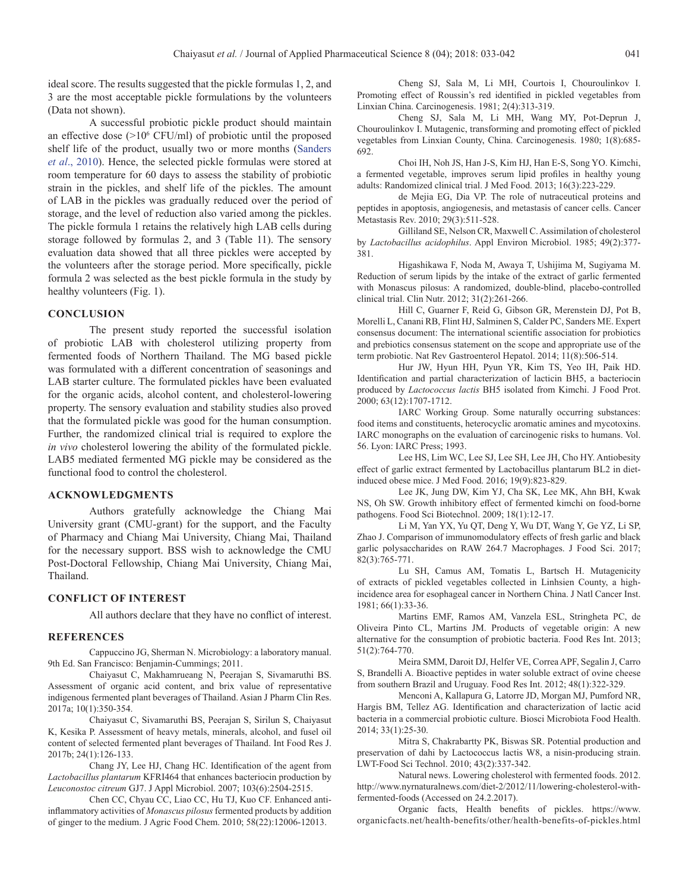ideal score. The results suggested that the pickle formulas 1, 2, and 3 are the most acceptable pickle formulations by the volunteers (Data not shown).

A successful probiotic pickle product should maintain an effective dose  $(>10^6$  CFU/ml) of probiotic until the proposed shelf life of the product, usually two or more months [\(Sanders](#page-9-18)  *et al*[., 2010](#page-9-18)). Hence, the selected pickle formulas were stored at room temperature for 60 days to assess the stability of probiotic strain in the pickles, and shelf life of the pickles. The amount of LAB in the pickles was gradually reduced over the period of storage, and the level of reduction also varied among the pickles. The pickle formula 1 retains the relatively high LAB cells during storage followed by formulas 2, and 3 (Table 11). The sensory evaluation data showed that all three pickles were accepted by the volunteers after the storage period. More specifically, pickle formula 2 was selected as the best pickle formula in the study by healthy volunteers (Fig. 1).

# **CONCLUSION**

The present study reported the successful isolation of probiotic LAB with cholesterol utilizing property from fermented foods of Northern Thailand. The MG based pickle was formulated with a different concentration of seasonings and LAB starter culture. The formulated pickles have been evaluated for the organic acids, alcohol content, and cholesterol-lowering property. The sensory evaluation and stability studies also proved that the formulated pickle was good for the human consumption. Further, the randomized clinical trial is required to explore the *in vivo* cholesterol lowering the ability of the formulated pickle. LAB5 mediated fermented MG pickle may be considered as the functional food to control the cholesterol.

# **ACKNOWLEDGMENTS**

Authors gratefully acknowledge the Chiang Mai University grant (CMU-grant) for the support, and the Faculty of Pharmacy and Chiang Mai University, Chiang Mai, Thailand for the necessary support. BSS wish to acknowledge the CMU Post-Doctoral Fellowship, Chiang Mai University, Chiang Mai, Thailand.

#### **CONFLICT OF INTEREST**

<span id="page-8-8"></span><span id="page-8-6"></span>All authors declare that they have no conflict of interest.

#### **REFERENCES**

Cappuccino JG, Sherman N. Microbiology: a laboratory manual. 9th Ed. San Francisco: Benjamin-Cummings; 2011.

Chaiyasut C, Makhamrueang N, Peerajan S, Sivamaruthi BS. Assessment of organic acid content, and brix value of representative indigenous fermented plant beverages of Thailand. Asian J Pharm Clin Res. 2017a; 10(1):350-354.

<span id="page-8-9"></span>Chaiyasut C, Sivamaruthi BS, Peerajan S, Sirilun S, Chaiyasut K, Kesika P. Assessment of heavy metals, minerals, alcohol, and fusel oil content of selected fermented plant beverages of Thailand. Int Food Res J. 2017b; 24(1):126-133.

<span id="page-8-11"></span>Chang JY, Lee HJ, Chang HC. Identification of the agent from *Lactobacillus plantarum* KFRI464 that enhances bacteriocin production by *Leuconostoc citreum* GJ7. J Appl Microbiol. 2007; 103(6):2504-2515.

<span id="page-8-15"></span>Chen CC, Chyau CC, Liao CC, Hu TJ, Kuo CF. Enhanced antiinflammatory activities of *Monascus pilosus* fermented products by addition of ginger to the medium. J Agric Food Chem. 2010; 58(22):12006-12013.

Cheng SJ, Sala M, Li MH, Courtois I, Chouroulinkov I. Promoting effect of Roussin's red identified in pickled vegetables from Linxian China. Carcinogenesis. 1981; 2(4):313-319.

<span id="page-8-2"></span>Cheng SJ, Sala M, Li MH, Wang MY, Pot-Deprun J, Chouroulinkov I. Mutagenic, transforming and promoting effect of pickled vegetables from Linxian County, China. Carcinogenesis. 1980; 1(8):685- 692.

<span id="page-8-22"></span>Choi IH, Noh JS, Han J-S, Kim HJ, Han E-S, Song YO. Kimchi, a fermented vegetable, improves serum lipid profiles in healthy young adults: Randomized clinical trial. J Med Food. 2013; 16(3):223-229.

<span id="page-8-18"></span>de Mejia EG, Dia VP. The role of nutraceutical proteins and peptides in apoptosis, angiogenesis, and metastasis of cancer cells. Cancer Metastasis Rev. 2010; 29(3):511-528.

<span id="page-8-7"></span>Gilliland SE, Nelson CR, Maxwell C. Assimilation of cholesterol by *Lactobacillus acidophilus*. Appl Environ Microbiol. 1985; 49(2):377- 381.

<span id="page-8-14"></span>Higashikawa F, Noda M, Awaya T, Ushijima M, Sugiyama M. Reduction of serum lipids by the intake of the extract of garlic fermented with Monascus pilosus: A randomized, double-blind, placebo-controlled clinical trial. Clin Nutr. 2012; 31(2):261-266.

<span id="page-8-20"></span>Hill C, Guarner F, Reid G, Gibson GR, Merenstein DJ, Pot B, Morelli L, Canani RB, Flint HJ, Salminen S, Calder PC, Sanders ME. Expert consensus document: The international scientific association for probiotics and prebiotics consensus statement on the scope and appropriate use of the term probiotic. Nat Rev Gastroenterol Hepatol. 2014; 11(8):506-514.

<span id="page-8-10"></span>Hur JW, Hyun HH, Pyun YR, Kim TS, Yeo IH, Paik HD. Identification and partial characterization of lacticin BH5, a bacteriocin produced by *Lactococcus lactis* BH5 isolated from Kimchi. J Food Prot. 2000; 63(12):1707-1712.

<span id="page-8-1"></span>IARC Working Group. Some naturally occurring substances: food items and constituents, heterocyclic aromatic amines and mycotoxins. IARC monographs on the evaluation of carcinogenic risks to humans. Vol. 56. Lyon: IARC Press; 1993.

<span id="page-8-13"></span>Lee HS, Lim WC, Lee SJ, Lee SH, Lee JH, Cho HY. Antiobesity effect of garlic extract fermented by Lactobacillus plantarum BL2 in dietinduced obese mice. J Med Food. 2016; 19(9):823-829.

<span id="page-8-16"></span>Lee JK, Jung DW, Kim YJ, Cha SK, Lee MK, Ahn BH, Kwak NS, Oh SW. Growth inhibitory effect of fermented kimchi on food-borne pathogens. Food Sci Biotechnol. 2009; 18(1):12-17.

<span id="page-8-12"></span>Li M, Yan YX, Yu QT, Deng Y, Wu DT, Wang Y, Ge YZ, Li SP, Zhao J. Comparison of immunomodulatory effects of fresh garlic and black garlic polysaccharides on RAW 264.7 Macrophages. J Food Sci. 2017; 82(3):765-771.

<span id="page-8-3"></span>Lu SH, Camus AM, Tomatis L, Bartsch H. Mutagenicity of extracts of pickled vegetables collected in Linhsien County, a highincidence area for esophageal cancer in Northern China. J Natl Cancer Inst. 1981; 66(1):33-36.

<span id="page-8-4"></span>Martins EMF, Ramos AM, Vanzela ESL, Stringheta PC, de Oliveira Pinto CL, Martins JM. Products of vegetable origin: A new alternative for the consumption of probiotic bacteria. Food Res Int. 2013; 51(2):764-770.

<span id="page-8-19"></span>Meira SMM, Daroit DJ, Helfer VE, Correa APF, Segalin J, Carro S, Brandelli A. Bioactive peptides in water soluble extract of ovine cheese from southern Brazil and Uruguay. Food Res Int. 2012; 48(1):322-329.

<span id="page-8-5"></span>Menconi A, Kallapura G, Latorre JD, Morgan MJ, Pumford NR, Hargis BM, Tellez AG. Identification and characterization of lactic acid bacteria in a commercial probiotic culture. Biosci Microbiota Food Health. 2014; 33(1):25-30.

<span id="page-8-17"></span>Mitra S, Chakrabartty PK, Biswas SR. Potential production and preservation of dahi by Lactococcus lactis W8, a nisin-producing strain. LWT-Food Sci Technol. 2010; 43(2):337-342.

<span id="page-8-21"></span>Natural news. Lowering cholesterol with fermented foods. 2012. http://www.nyrnaturalnews.com/diet-2/2012/11/lowering-cholesterol-withfermented-foods (Accessed on 24.2.2017).

<span id="page-8-0"></span>Organic facts, Health benefits of pickles. https://www. organicfacts.net/health-benefits/other/health-benefits-of-pickles.html